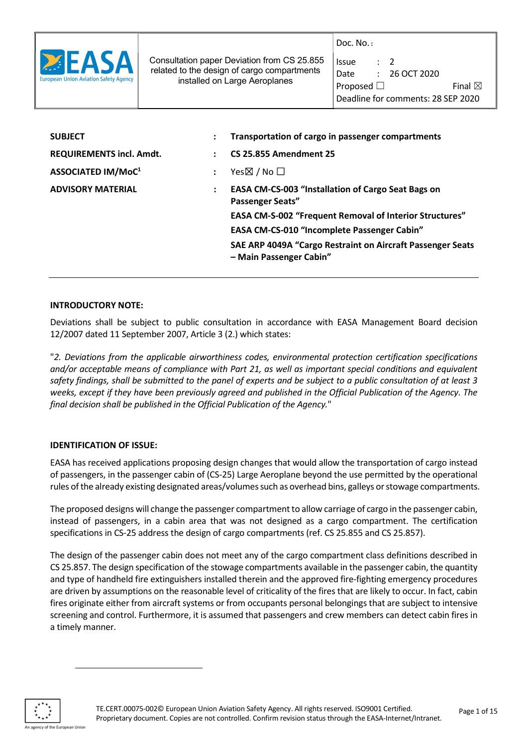

 Consultation paper Deviation from CS 25.855 related to the design of cargo compartments installed on Large Aeroplanes

| Issue                              | $\cdot$ 7 |                 |                   |
|------------------------------------|-----------|-----------------|-------------------|
| Date                               |           | $: 26$ OCT 2020 |                   |
| Proposed $\Box$                    |           |                 | Final $\boxtimes$ |
| Deadline for comments: 28 SEP 2020 |           |                 |                   |

| <b>SUBJECT</b>                  | Transportation of cargo in passenger compartments                                     |
|---------------------------------|---------------------------------------------------------------------------------------|
| <b>REQUIREMENTS incl. Amdt.</b> | <b>CS 25.855 Amendment 25</b>                                                         |
| ASSOCIATED IM/MoC <sup>1</sup>  | Yes $\boxtimes$ / No $\square$                                                        |
| <b>ADVISORY MATERIAL</b>        | <b>EASA CM-CS-003 "Installation of Cargo Seat Bags on</b><br><b>Passenger Seats"</b>  |
|                                 | <b>EASA CM-S-002 "Frequent Removal of Interior Structures"</b>                        |
|                                 | EASA CM-CS-010 "Incomplete Passenger Cabin"                                           |
|                                 | SAE ARP 4049A "Cargo Restraint on Aircraft Passenger Seats<br>- Main Passenger Cabin" |
|                                 |                                                                                       |

#### INTRODUCTORY NOTE:

Deviations shall be subject to public consultation in accordance with EASA Management Board decision 12/2007 dated 11 September 2007, Article 3 (2.) which states:

"2. Deviations from the applicable airworthiness codes, environmental protection certification specifications and/or acceptable means of compliance with Part 21, as well as important special conditions and equivalent safety findings, shall be submitted to the panel of experts and be subject to a public consultation of at least 3 weeks, except if they have been previously agreed and published in the Official Publication of the Agency. The final decision shall be published in the Official Publication of the Agency."

## IDENTIFICATION OF ISSUE:

EASA has received applications proposing design changes that would allow the transportation of cargo instead of passengers, in the passenger cabin of (CS-25) Large Aeroplane beyond the use permitted by the operational rules of the already existing designated areas/volumes such as overhead bins, galleys or stowage compartments.

The proposed designs will change the passenger compartment to allow carriage of cargo in the passenger cabin, instead of passengers, in a cabin area that was not designed as a cargo compartment. The certification specifications in CS-25 address the design of cargo compartments (ref. CS 25.855 and CS 25.857).

The design of the passenger cabin does not meet any of the cargo compartment class definitions described in CS 25.857. The design specification of the stowage compartments available in the passenger cabin, the quantity and type of handheld fire extinguishers installed therein and the approved fire-fighting emergency procedures are driven by assumptions on the reasonable level of criticality of the fires that are likely to occur. In fact, cabin fires originate either from aircraft systems or from occupants personal belongings that are subject to intensive screening and control. Furthermore, it is assumed that passengers and crew members can detect cabin fires in a timely manner.



-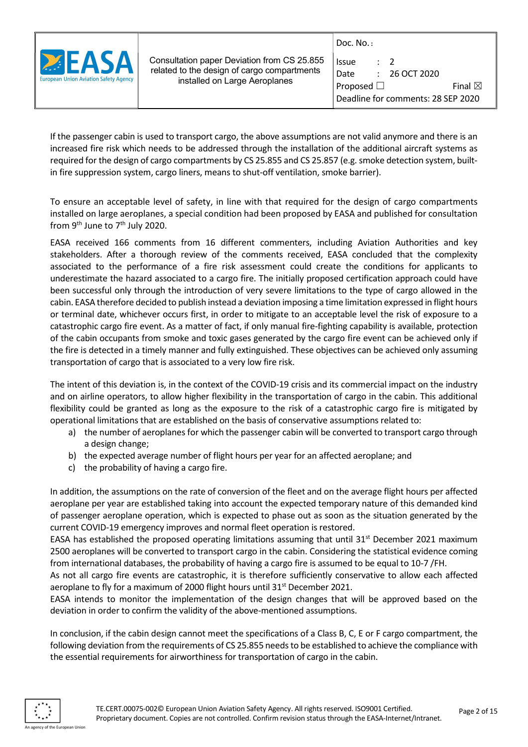

 Consultation paper Deviation from CS 25.855 related to the design of cargo compartments installed on Large Aeroplanes

| Issue           | $\cdot$ 7 |                                    |
|-----------------|-----------|------------------------------------|
| Date            |           | $: 26$ OCT 2020                    |
| Proposed $\Box$ |           | Final $\boxtimes$                  |
|                 |           | Deadline for comments: 28 SEP 2020 |

If the passenger cabin is used to transport cargo, the above assumptions are not valid anymore and there is an increased fire risk which needs to be addressed through the installation of the additional aircraft systems as required for the design of cargo compartments by CS 25.855 and CS 25.857 (e.g. smoke detection system, builtin fire suppression system, cargo liners, means to shut-off ventilation, smoke barrier).

To ensure an acceptable level of safety, in line with that required for the design of cargo compartments installed on large aeroplanes, a special condition had been proposed by EASA and published for consultation from  $9<sup>th</sup>$  June to  $7<sup>th</sup>$  July 2020.

EASA received 166 comments from 16 different commenters, including Aviation Authorities and key stakeholders. After a thorough review of the comments received, EASA concluded that the complexity associated to the performance of a fire risk assessment could create the conditions for applicants to underestimate the hazard associated to a cargo fire. The initially proposed certification approach could have been successful only through the introduction of very severe limitations to the type of cargo allowed in the cabin. EASA therefore decided to publish instead a deviation imposing a time limitation expressed in flight hours or terminal date, whichever occurs first, in order to mitigate to an acceptable level the risk of exposure to a catastrophic cargo fire event. As a matter of fact, if only manual fire-fighting capability is available, protection of the cabin occupants from smoke and toxic gases generated by the cargo fire event can be achieved only if the fire is detected in a timely manner and fully extinguished. These objectives can be achieved only assuming transportation of cargo that is associated to a very low fire risk.

The intent of this deviation is, in the context of the COVID-19 crisis and its commercial impact on the industry and on airline operators, to allow higher flexibility in the transportation of cargo in the cabin. This additional flexibility could be granted as long as the exposure to the risk of a catastrophic cargo fire is mitigated by operational limitations that are established on the basis of conservative assumptions related to:

- a) the number of aeroplanes for which the passenger cabin will be converted to transport cargo through a design change;
- b) the expected average number of flight hours per year for an affected aeroplane; and
- c) the probability of having a cargo fire.

In addition, the assumptions on the rate of conversion of the fleet and on the average flight hours per affected aeroplane per year are established taking into account the expected temporary nature of this demanded kind of passenger aeroplane operation, which is expected to phase out as soon as the situation generated by the current COVID-19 emergency improves and normal fleet operation is restored.

EASA has established the proposed operating limitations assuming that until  $31<sup>st</sup>$  December 2021 maximum 2500 aeroplanes will be converted to transport cargo in the cabin. Considering the statistical evidence coming from international databases, the probability of having a cargo fire is assumed to be equal to 10-7 /FH.

As not all cargo fire events are catastrophic, it is therefore sufficiently conservative to allow each affected aeroplane to fly for a maximum of 2000 flight hours until 31<sup>st</sup> December 2021.

EASA intends to monitor the implementation of the design changes that will be approved based on the deviation in order to confirm the validity of the above-mentioned assumptions.

In conclusion, if the cabin design cannot meet the specifications of a Class B, C, E or F cargo compartment, the following deviation from the requirements of CS 25.855 needs to be established to achieve the compliance with the essential requirements for airworthiness for transportation of cargo in the cabin.

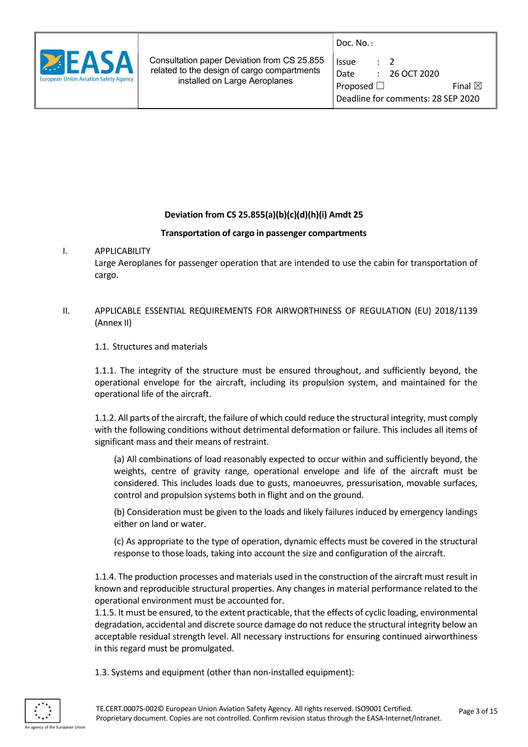

| Issue           | $\cdot$ 7 |                                    |
|-----------------|-----------|------------------------------------|
| Date            |           | $: 26$ OCT 2020                    |
| Proposed $\Box$ |           | Final $\boxtimes$                  |
|                 |           | Deadline for comments: 28 SEP 2020 |

## Deviation from CS 25.855(a)(b)(c)(d)(h)(i) Amdt 25

#### Transportation of cargo in passenger compartments

#### I. APPLICABILITY

Large Aeroplanes for passenger operation that are intended to use the cabin for transportation of cargo.

## II. APPLICABLE ESSENTIAL REQUIREMENTS FOR AIRWORTHINESS OF REGULATION (EU) 2018/1139 (Annex II)

1.1. Structures and materials

1.1.1. The integrity of the structure must be ensured throughout, and sufficiently beyond, the operational envelope for the aircraft, including its propulsion system, and maintained for the operational life of the aircraft.

1.1.2. All parts of the aircraft, the failure of which could reduce the structural integrity, must comply with the following conditions without detrimental deformation or failure. This includes all items of significant mass and their means of restraint.

(a) All combinations of load reasonably expected to occur within and sufficiently beyond, the weights, centre of gravity range, operational envelope and life of the aircraft must be considered. This includes loads due to gusts, manoeuvres, pressurisation, movable surfaces, control and propulsion systems both in flight and on the ground.

(b) Consideration must be given to the loads and likely failures induced by emergency landings either on land or water.

(c) As appropriate to the type of operation, dynamic effects must be covered in the structural response to those loads, taking into account the size and configuration of the aircraft.

1.1.4. The production processes and materials used in the construction of the aircraft must result in known and reproducible structural properties. Any changes in material performance related to the operational environment must be accounted for.

1.1.5. It must be ensured, to the extent practicable, that the effects of cyclic loading, environmental degradation, accidental and discrete source damage do not reduce the structural integrity below an acceptable residual strength level. All necessary instructions for ensuring continued airworthiness in this regard must be promulgated.

1.3. Systems and equipment (other than non-installed equipment):

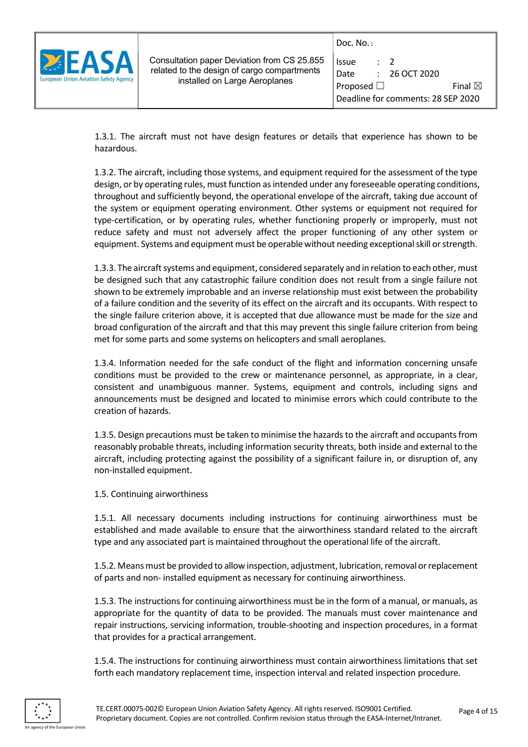

| <b>Issue</b>                       | $\cdot$ 7 |                   |  |
|------------------------------------|-----------|-------------------|--|
| Date                               |           | $: 26$ OCT 2020   |  |
| Proposed $\Box$                    |           | Final $\boxtimes$ |  |
| Deadline for comments: 28 SEP 2020 |           |                   |  |

1.3.1. The aircraft must not have design features or details that experience has shown to be hazardous.

1.3.2. The aircraft, including those systems, and equipment required for the assessment of the type design, or by operating rules, must function as intended under any foreseeable operating conditions, throughout and sufficiently beyond, the operational envelope of the aircraft, taking due account of the system or equipment operating environment. Other systems or equipment not required for type-certification, or by operating rules, whether functioning properly or improperly, must not reduce safety and must not adversely affect the proper functioning of any other system or equipment. Systems and equipment must be operable without needing exceptional skill or strength.

1.3.3. The aircraft systems and equipment, considered separately and in relation to each other, must be designed such that any catastrophic failure condition does not result from a single failure not shown to be extremely improbable and an inverse relationship must exist between the probability of a failure condition and the severity of its effect on the aircraft and its occupants. With respect to the single failure criterion above, it is accepted that due allowance must be made for the size and broad configuration of the aircraft and that this may prevent this single failure criterion from being met for some parts and some systems on helicopters and small aeroplanes.

1.3.4. Information needed for the safe conduct of the flight and information concerning unsafe conditions must be provided to the crew or maintenance personnel, as appropriate, in a clear, consistent and unambiguous manner. Systems, equipment and controls, including signs and announcements must be designed and located to minimise errors which could contribute to the creation of hazards.

1.3.5. Design precautions must be taken to minimise the hazards to the aircraft and occupants from reasonably probable threats, including information security threats, both inside and external to the aircraft, including protecting against the possibility of a significant failure in, or disruption of, any non-installed equipment.

1.5. Continuing airworthiness

1.5.1. All necessary documents including instructions for continuing airworthiness must be established and made available to ensure that the airworthiness standard related to the aircraft type and any associated part is maintained throughout the operational life of the aircraft.

1.5.2. Means must be provided to allow inspection, adjustment, lubrication, removal or replacement of parts and non- installed equipment as necessary for continuing airworthiness.

1.5.3. The instructions for continuing airworthiness must be in the form of a manual, or manuals, as appropriate for the quantity of data to be provided. The manuals must cover maintenance and repair instructions, servicing information, trouble-shooting and inspection procedures, in a format that provides for a practical arrangement.

1.5.4. The instructions for continuing airworthiness must contain airworthiness limitations that set forth each mandatory replacement time, inspection interval and related inspection procedure.

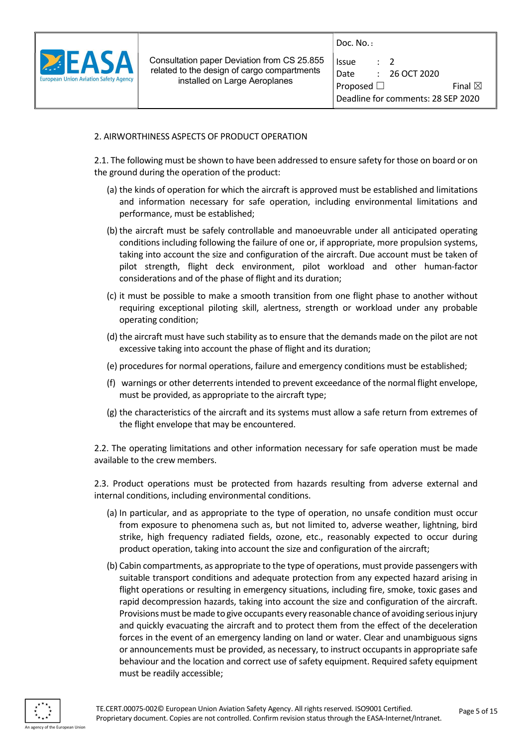

| Issue           | $\cdot$ 7 |                                    |
|-----------------|-----------|------------------------------------|
| Date            |           | $: 26$ OCT 2020                    |
| Proposed $\Box$ |           | Final $\boxtimes$                  |
|                 |           | Deadline for comments: 28 SEP 2020 |

#### 2. AIRWORTHINESS ASPECTS OF PRODUCT OPERATION

2.1. The following must be shown to have been addressed to ensure safety for those on board or on the ground during the operation of the product:

- (a) the kinds of operation for which the aircraft is approved must be established and limitations and information necessary for safe operation, including environmental limitations and performance, must be established;
- (b) the aircraft must be safely controllable and manoeuvrable under all anticipated operating conditions including following the failure of one or, if appropriate, more propulsion systems, taking into account the size and configuration of the aircraft. Due account must be taken of pilot strength, flight deck environment, pilot workload and other human-factor considerations and of the phase of flight and its duration;
- (c) it must be possible to make a smooth transition from one flight phase to another without requiring exceptional piloting skill, alertness, strength or workload under any probable operating condition;
- (d) the aircraft must have such stability as to ensure that the demands made on the pilot are not excessive taking into account the phase of flight and its duration;
- (e) procedures for normal operations, failure and emergency conditions must be established;
- (f) warnings or other deterrents intended to prevent exceedance of the normal flight envelope, must be provided, as appropriate to the aircraft type;
- (g) the characteristics of the aircraft and its systems must allow a safe return from extremes of the flight envelope that may be encountered.

2.2. The operating limitations and other information necessary for safe operation must be made available to the crew members.

2.3. Product operations must be protected from hazards resulting from adverse external and internal conditions, including environmental conditions.

- (a) In particular, and as appropriate to the type of operation, no unsafe condition must occur from exposure to phenomena such as, but not limited to, adverse weather, lightning, bird strike, high frequency radiated fields, ozone, etc., reasonably expected to occur during product operation, taking into account the size and configuration of the aircraft;
- (b) Cabin compartments, as appropriate to the type of operations, must provide passengers with suitable transport conditions and adequate protection from any expected hazard arising in flight operations or resulting in emergency situations, including fire, smoke, toxic gases and rapid decompression hazards, taking into account the size and configuration of the aircraft. Provisions must be made to give occupants every reasonable chance of avoiding serious injury and quickly evacuating the aircraft and to protect them from the effect of the deceleration forces in the event of an emergency landing on land or water. Clear and unambiguous signs or announcements must be provided, as necessary, to instruct occupants in appropriate safe behaviour and the location and correct use of safety equipment. Required safety equipment must be readily accessible;

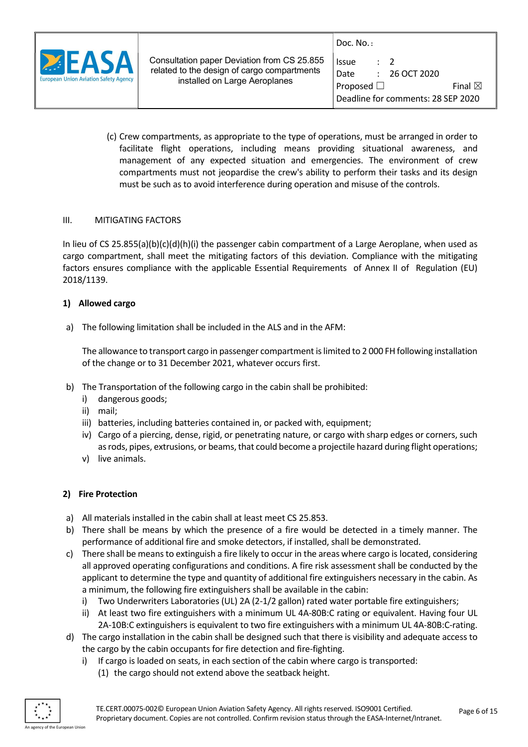

| Issue           | $\cdot$ 7 |                                    |  |
|-----------------|-----------|------------------------------------|--|
| Date            |           | $: 26$ OCT 2020                    |  |
| Proposed $\Box$ |           | Final $\boxtimes$                  |  |
|                 |           | Deadline for comments: 28 SEP 2020 |  |

(c) Crew compartments, as appropriate to the type of operations, must be arranged in order to facilitate flight operations, including means providing situational awareness, and management of any expected situation and emergencies. The environment of crew compartments must not jeopardise the crew's ability to perform their tasks and its design must be such as to avoid interference during operation and misuse of the controls.

#### III. MITIGATING FACTORS

In lieu of CS 25.855(a)(b)(c)(d)(h)(i) the passenger cabin compartment of a Large Aeroplane, when used as cargo compartment, shall meet the mitigating factors of this deviation. Compliance with the mitigating factors ensures compliance with the applicable Essential Requirements of Annex II of Regulation (EU) 2018/1139.

#### 1) Allowed cargo

a) The following limitation shall be included in the ALS and in the AFM:

The allowance to transport cargo in passenger compartment is limited to 2 000 FH following installation of the change or to 31 December 2021, whatever occurs first.

- b) The Transportation of the following cargo in the cabin shall be prohibited:
	- i) dangerous goods;
	- ii) mail;
	- iii) batteries, including batteries contained in, or packed with, equipment;
	- iv) Cargo of a piercing, dense, rigid, or penetrating nature, or cargo with sharp edges or corners, such as rods, pipes, extrusions, or beams, that could become a projectile hazard during flight operations;
	- v) live animals.

#### 2) Fire Protection

- a) All materials installed in the cabin shall at least meet CS 25.853.
- b) There shall be means by which the presence of a fire would be detected in a timely manner. The performance of additional fire and smoke detectors, if installed, shall be demonstrated.
- c) There shall be means to extinguish a fire likely to occur in the areas where cargo is located, considering all approved operating configurations and conditions. A fire risk assessment shall be conducted by the applicant to determine the type and quantity of additional fire extinguishers necessary in the cabin. As a minimum, the following fire extinguishers shall be available in the cabin:
	- i) Two Underwriters Laboratories (UL) 2A (2-1/2 gallon) rated water portable fire extinguishers;
	- ii) At least two fire extinguishers with a minimum UL 4A-80B:C rating or equivalent. Having four UL 2A-10B:C extinguishers is equivalent to two fire extinguishers with a minimum UL 4A-80B:C-rating.
- d) The cargo installation in the cabin shall be designed such that there is visibility and adequate access to the cargo by the cabin occupants for fire detection and fire-fighting.
	- i) If cargo is loaded on seats, in each section of the cabin where cargo is transported:
		- (1) the cargo should not extend above the seatback height.

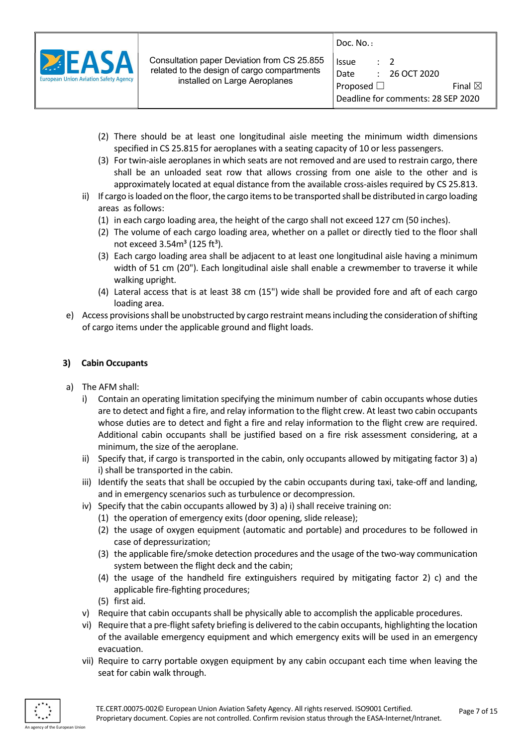

| Issue                              |  | $\cdot$ 7          |  |
|------------------------------------|--|--------------------|--|
| Date                               |  | $\div$ 26 OCT 2020 |  |
| Proposed $\Box$                    |  | Final $\boxtimes$  |  |
| Deadline for comments: 28 SEP 2020 |  |                    |  |

- (2) There should be at least one longitudinal aisle meeting the minimum width dimensions specified in CS 25.815 for aeroplanes with a seating capacity of 10 or less passengers.
- (3) For twin-aisle aeroplanes in which seats are not removed and are used to restrain cargo, there shall be an unloaded seat row that allows crossing from one aisle to the other and is approximately located at equal distance from the available cross-aisles required by CS 25.813.
- ii) If cargo is loaded on the floor, the cargo items to be transported shall be distributed in cargo loading areas as follows:
	- (1) in each cargo loading area, the height of the cargo shall not exceed 127 cm (50 inches).
	- (2) The volume of each cargo loading area, whether on a pallet or directly tied to the floor shall not exceed  $3.54m<sup>3</sup>$  (125 ft<sup>3</sup>).
	- (3) Each cargo loading area shall be adjacent to at least one longitudinal aisle having a minimum width of 51 cm (20"). Each longitudinal aisle shall enable a crewmember to traverse it while walking upright.
	- (4) Lateral access that is at least 38 cm (15") wide shall be provided fore and aft of each cargo loading area.
- e) Access provisions shall be unobstructed by cargo restraint means including the consideration of shifting of cargo items under the applicable ground and flight loads.

## 3) Cabin Occupants

- a) The AFM shall:
	- i) Contain an operating limitation specifying the minimum number of cabin occupants whose duties are to detect and fight a fire, and relay information to the flight crew. At least two cabin occupants whose duties are to detect and fight a fire and relay information to the flight crew are required. Additional cabin occupants shall be justified based on a fire risk assessment considering, at a minimum, the size of the aeroplane.
	- ii) Specify that, if cargo is transported in the cabin, only occupants allowed by mitigating factor 3) a) i) shall be transported in the cabin.
	- iii) Identify the seats that shall be occupied by the cabin occupants during taxi, take-off and landing, and in emergency scenarios such as turbulence or decompression.
	- iv) Specify that the cabin occupants allowed by 3) a) i) shall receive training on:
		- (1) the operation of emergency exits (door opening, slide release);
		- (2) the usage of oxygen equipment (automatic and portable) and procedures to be followed in case of depressurization;
		- (3) the applicable fire/smoke detection procedures and the usage of the two-way communication system between the flight deck and the cabin;
		- (4) the usage of the handheld fire extinguishers required by mitigating factor 2) c) and the applicable fire-fighting procedures;
		- (5) first aid.
	- v) Require that cabin occupants shall be physically able to accomplish the applicable procedures.
	- vi) Require that a pre-flight safety briefing is delivered to the cabin occupants, highlighting the location of the available emergency equipment and which emergency exits will be used in an emergency evacuation.
	- vii) Require to carry portable oxygen equipment by any cabin occupant each time when leaving the seat for cabin walk through.

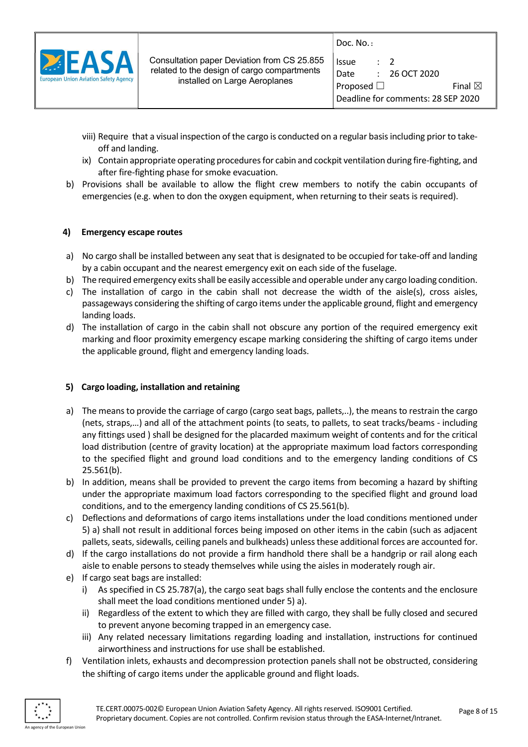| <b>European Union Aviation Safety Agency</b> |  |  |
|----------------------------------------------|--|--|

| Doc. $No.$ :    |           |                                    |
|-----------------|-----------|------------------------------------|
| <b>Issue</b>    | $\cdot$ 2 |                                    |
| Date            |           | $: 26$ OCT 2020                    |
| Proposed $\Box$ |           | Final $\boxtimes$                  |
|                 |           | Deadline for comments: 28 SEP 2020 |

- viii) Require that a visual inspection of the cargo is conducted on a regular basis including prior to takeoff and landing.
- ix) Contain appropriate operating procedures for cabin and cockpit ventilation during fire-fighting, and after fire-fighting phase for smoke evacuation.
- b) Provisions shall be available to allow the flight crew members to notify the cabin occupants of emergencies (e.g. when to don the oxygen equipment, when returning to their seats is required).

## 4) Emergency escape routes

- a) No cargo shall be installed between any seat that is designated to be occupied for take-off and landing by a cabin occupant and the nearest emergency exit on each side of the fuselage.
- b) The required emergency exits shall be easily accessible and operable under any cargo loading condition.
- c) The installation of cargo in the cabin shall not decrease the width of the aisle(s), cross aisles, passageways considering the shifting of cargo items under the applicable ground, flight and emergency landing loads.
- d) The installation of cargo in the cabin shall not obscure any portion of the required emergency exit marking and floor proximity emergency escape marking considering the shifting of cargo items under the applicable ground, flight and emergency landing loads.

## 5) Cargo loading, installation and retaining

- a) The means to provide the carriage of cargo (cargo seat bags, pallets,..), the means to restrain the cargo (nets, straps,…) and all of the attachment points (to seats, to pallets, to seat tracks/beams - including any fittings used ) shall be designed for the placarded maximum weight of contents and for the critical load distribution (centre of gravity location) at the appropriate maximum load factors corresponding to the specified flight and ground load conditions and to the emergency landing conditions of CS 25.561(b).
- b) In addition, means shall be provided to prevent the cargo items from becoming a hazard by shifting under the appropriate maximum load factors corresponding to the specified flight and ground load conditions, and to the emergency landing conditions of CS 25.561(b).
- c) Deflections and deformations of cargo items installations under the load conditions mentioned under 5) a) shall not result in additional forces being imposed on other items in the cabin (such as adjacent pallets, seats, sidewalls, ceiling panels and bulkheads) unless these additional forces are accounted for.
- d) If the cargo installations do not provide a firm handhold there shall be a handgrip or rail along each aisle to enable persons to steady themselves while using the aisles in moderately rough air.
- e) If cargo seat bags are installed:
	- i) As specified in CS 25.787(a), the cargo seat bags shall fully enclose the contents and the enclosure shall meet the load conditions mentioned under 5) a).
	- ii) Regardless of the extent to which they are filled with cargo, they shall be fully closed and secured to prevent anyone becoming trapped in an emergency case.
	- iii) Any related necessary limitations regarding loading and installation, instructions for continued airworthiness and instructions for use shall be established.
- f) Ventilation inlets, exhausts and decompression protection panels shall not be obstructed, considering the shifting of cargo items under the applicable ground and flight loads.

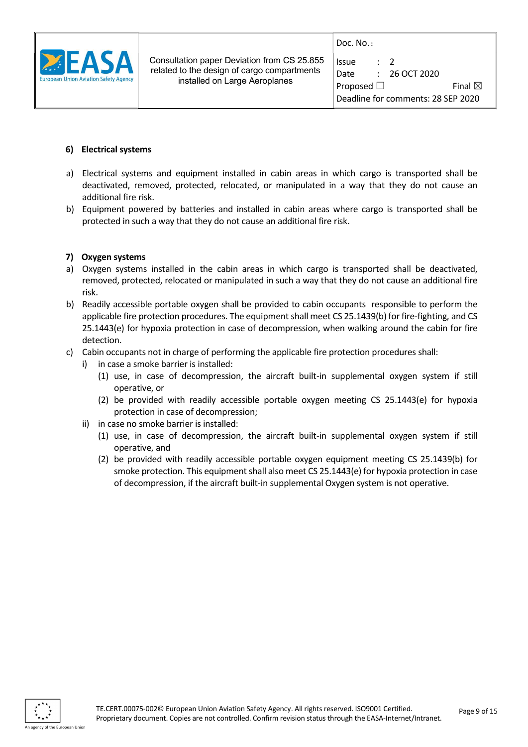

| Issue           | $\cdot$ 7 |                                    |  |
|-----------------|-----------|------------------------------------|--|
| Date            |           | $: 26$ OCT 2020                    |  |
| Proposed $\Box$ |           | Final $\boxtimes$                  |  |
|                 |           | Deadline for comments: 28 SEP 2020 |  |

#### 6) Electrical systems

- a) Electrical systems and equipment installed in cabin areas in which cargo is transported shall be deactivated, removed, protected, relocated, or manipulated in a way that they do not cause an additional fire risk.
- b) Equipment powered by batteries and installed in cabin areas where cargo is transported shall be protected in such a way that they do not cause an additional fire risk.

## 7) Oxygen systems

- a) Oxygen systems installed in the cabin areas in which cargo is transported shall be deactivated, removed, protected, relocated or manipulated in such a way that they do not cause an additional fire risk.
- b) Readily accessible portable oxygen shall be provided to cabin occupants responsible to perform the applicable fire protection procedures. The equipment shall meet CS 25.1439(b) for fire-fighting, and CS 25.1443(e) for hypoxia protection in case of decompression, when walking around the cabin for fire detection.
- c) Cabin occupants not in charge of performing the applicable fire protection procedures shall:
	- i) in case a smoke barrier is installed:
		- (1) use, in case of decompression, the aircraft built-in supplemental oxygen system if still operative, or
		- (2) be provided with readily accessible portable oxygen meeting CS 25.1443(e) for hypoxia protection in case of decompression;
	- ii) in case no smoke barrier is installed:
		- (1) use, in case of decompression, the aircraft built-in supplemental oxygen system if still operative, and
		- (2) be provided with readily accessible portable oxygen equipment meeting CS 25.1439(b) for smoke protection. This equipment shall also meet CS 25.1443(e) for hypoxia protection in case of decompression, if the aircraft built-in supplemental Oxygen system is not operative.

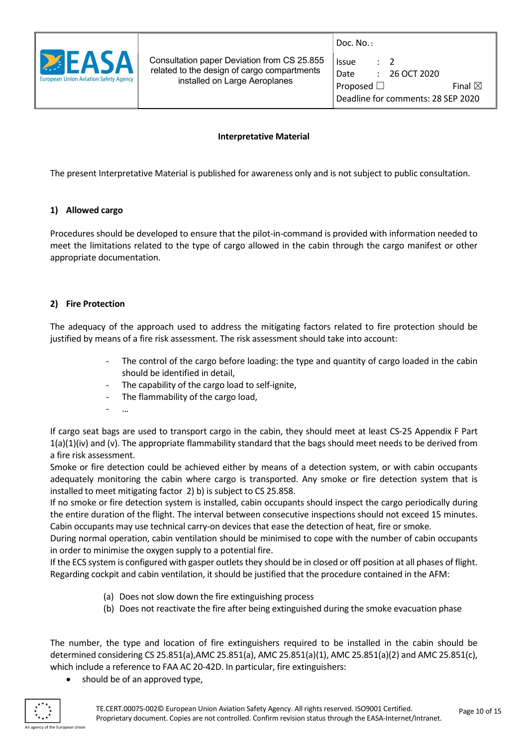

| Issue           | $\cdot$ 7 |                                    |
|-----------------|-----------|------------------------------------|
| Date            |           | $: 26$ OCT 2020                    |
| Proposed $\Box$ |           | Final $\boxtimes$                  |
|                 |           | Deadline for comments: 28 SEP 2020 |

#### Interpretative Material

The present Interpretative Material is published for awareness only and is not subject to public consultation.

## 1) Allowed cargo

Procedures should be developed to ensure that the pilot-in-command is provided with information needed to meet the limitations related to the type of cargo allowed in the cabin through the cargo manifest or other appropriate documentation.

## 2) Fire Protection

The adequacy of the approach used to address the mitigating factors related to fire protection should be justified by means of a fire risk assessment. The risk assessment should take into account:

- The control of the cargo before loading: the type and quantity of cargo loaded in the cabin should be identified in detail,
- The capability of the cargo load to self-ignite,
- The flammability of the cargo load,
- …

If cargo seat bags are used to transport cargo in the cabin, they should meet at least CS-25 Appendix F Part  $1(a)(1)(iv)$  and (v). The appropriate flammability standard that the bags should meet needs to be derived from a fire risk assessment.

Smoke or fire detection could be achieved either by means of a detection system, or with cabin occupants adequately monitoring the cabin where cargo is transported. Any smoke or fire detection system that is installed to meet mitigating factor 2) b) is subject to CS 25.858.

If no smoke or fire detection system is installed, cabin occupants should inspect the cargo periodically during the entire duration of the flight. The interval between consecutive inspections should not exceed 15 minutes. Cabin occupants may use technical carry-on devices that ease the detection of heat, fire or smoke.

During normal operation, cabin ventilation should be minimised to cope with the number of cabin occupants in order to minimise the oxygen supply to a potential fire.

If the ECS system is configured with gasper outlets they should be in closed or off position at all phases of flight. Regarding cockpit and cabin ventilation, it should be justified that the procedure contained in the AFM:

- (a) Does not slow down the fire extinguishing process
- (b) Does not reactivate the fire after being extinguished during the smoke evacuation phase

The number, the type and location of fire extinguishers required to be installed in the cabin should be determined considering CS 25.851(a),AMC 25.851(a), AMC 25.851(a)(1), AMC 25.851(a)(2) and AMC 25.851(c), which include a reference to FAA AC 20-42D. In particular, fire extinguishers:

should be of an approved type,

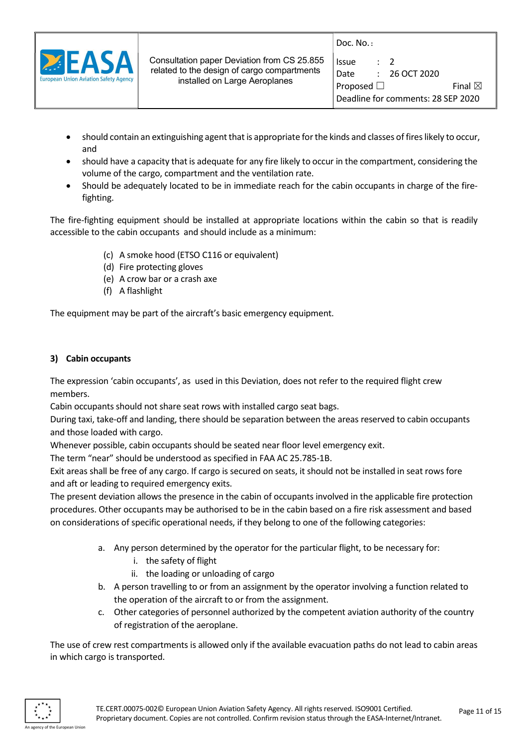

- should contain an extinguishing agent that is appropriate for the kinds and classes of fires likely to occur, and
- should have a capacity that is adequate for any fire likely to occur in the compartment, considering the volume of the cargo, compartment and the ventilation rate.
- Should be adequately located to be in immediate reach for the cabin occupants in charge of the firefighting.

The fire-fighting equipment should be installed at appropriate locations within the cabin so that is readily accessible to the cabin occupants and should include as a minimum:

- (c) A smoke hood (ETSO C116 or equivalent)
- (d) Fire protecting gloves
- (e) A crow bar or a crash axe
- (f) A flashlight

The equipment may be part of the aircraft's basic emergency equipment.

## 3) Cabin occupants

The expression 'cabin occupants', as used in this Deviation, does not refer to the required flight crew members.

Cabin occupants should not share seat rows with installed cargo seat bags.

During taxi, take-off and landing, there should be separation between the areas reserved to cabin occupants and those loaded with cargo.

Whenever possible, cabin occupants should be seated near floor level emergency exit.

The term "near" should be understood as specified in FAA AC 25.785-1B.

Exit areas shall be free of any cargo. If cargo is secured on seats, it should not be installed in seat rows fore and aft or leading to required emergency exits.

The present deviation allows the presence in the cabin of occupants involved in the applicable fire protection procedures. Other occupants may be authorised to be in the cabin based on a fire risk assessment and based on considerations of specific operational needs, if they belong to one of the following categories:

- a. Any person determined by the operator for the particular flight, to be necessary for:
	- i. the safety of flight
	- ii. the loading or unloading of cargo
- b. A person travelling to or from an assignment by the operator involving a function related to the operation of the aircraft to or from the assignment.
- c. Other categories of personnel authorized by the competent aviation authority of the country of registration of the aeroplane.

The use of crew rest compartments is allowed only if the available evacuation paths do not lead to cabin areas in which cargo is transported.

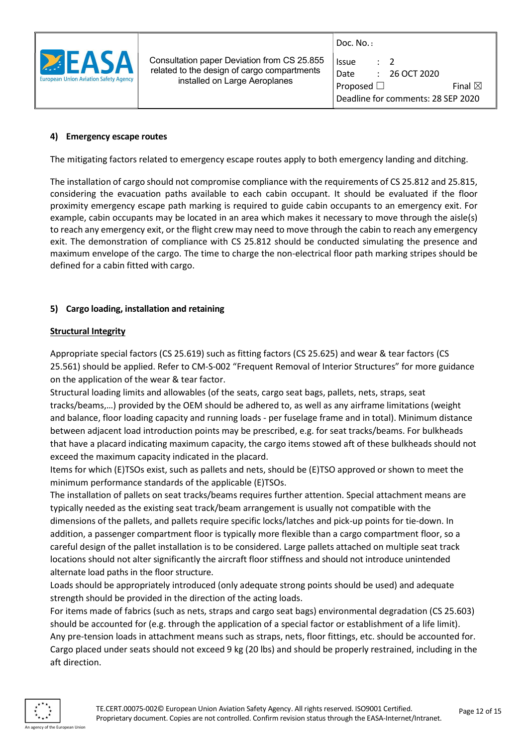

| Issue                              | $\cdot$ 7 |                   |  |  |  |
|------------------------------------|-----------|-------------------|--|--|--|
| Date                               |           | $: 26$ OCT 2020   |  |  |  |
| Proposed $\Box$                    |           | Final $\boxtimes$ |  |  |  |
| Deadline for comments: 28 SEP 2020 |           |                   |  |  |  |

#### 4) Emergency escape routes

The mitigating factors related to emergency escape routes apply to both emergency landing and ditching.

The installation of cargo should not compromise compliance with the requirements of CS 25.812 and 25.815, considering the evacuation paths available to each cabin occupant. It should be evaluated if the floor proximity emergency escape path marking is required to guide cabin occupants to an emergency exit. For example, cabin occupants may be located in an area which makes it necessary to move through the aisle(s) to reach any emergency exit, or the flight crew may need to move through the cabin to reach any emergency exit. The demonstration of compliance with CS 25.812 should be conducted simulating the presence and maximum envelope of the cargo. The time to charge the non-electrical floor path marking stripes should be defined for a cabin fitted with cargo.

#### 5) Cargo loading, installation and retaining

#### Structural Integrity

Appropriate special factors (CS 25.619) such as fitting factors (CS 25.625) and wear & tear factors (CS 25.561) should be applied. Refer to CM-S-002 "Frequent Removal of Interior Structures" for more guidance on the application of the wear & tear factor.

Structural loading limits and allowables (of the seats, cargo seat bags, pallets, nets, straps, seat tracks/beams,…) provided by the OEM should be adhered to, as well as any airframe limitations (weight and balance, floor loading capacity and running loads - per fuselage frame and in total). Minimum distance between adjacent load introduction points may be prescribed, e.g. for seat tracks/beams. For bulkheads that have a placard indicating maximum capacity, the cargo items stowed aft of these bulkheads should not exceed the maximum capacity indicated in the placard.

Items for which (E)TSOs exist, such as pallets and nets, should be (E)TSO approved or shown to meet the minimum performance standards of the applicable (E)TSOs.

The installation of pallets on seat tracks/beams requires further attention. Special attachment means are typically needed as the existing seat track/beam arrangement is usually not compatible with the dimensions of the pallets, and pallets require specific locks/latches and pick-up points for tie-down. In addition, a passenger compartment floor is typically more flexible than a cargo compartment floor, so a careful design of the pallet installation is to be considered. Large pallets attached on multiple seat track locations should not alter significantly the aircraft floor stiffness and should not introduce unintended alternate load paths in the floor structure.

Loads should be appropriately introduced (only adequate strong points should be used) and adequate strength should be provided in the direction of the acting loads.

For items made of fabrics (such as nets, straps and cargo seat bags) environmental degradation (CS 25.603) should be accounted for (e.g. through the application of a special factor or establishment of a life limit). Any pre-tension loads in attachment means such as straps, nets, floor fittings, etc. should be accounted for. Cargo placed under seats should not exceed 9 kg (20 lbs) and should be properly restrained, including in the aft direction.

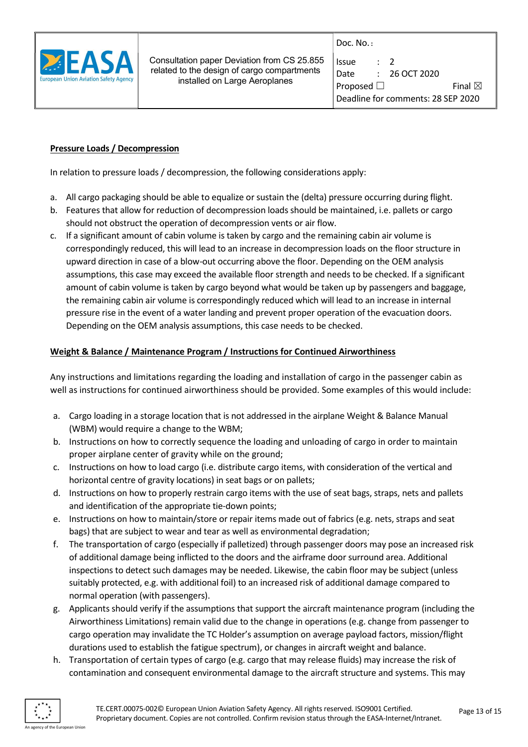

| Issue                              | $\cdot$ 7 |                   |  |  |  |
|------------------------------------|-----------|-------------------|--|--|--|
| Date                               |           | $: 26$ OCT 2020   |  |  |  |
| Proposed $\Box$                    |           | Final $\boxtimes$ |  |  |  |
| Deadline for comments: 28 SEP 2020 |           |                   |  |  |  |

# Pressure Loads / Decompression

In relation to pressure loads / decompression, the following considerations apply:

- a. All cargo packaging should be able to equalize or sustain the (delta) pressure occurring during flight.
- b. Features that allow for reduction of decompression loads should be maintained, i.e. pallets or cargo should not obstruct the operation of decompression vents or air flow.
- c. If a significant amount of cabin volume is taken by cargo and the remaining cabin air volume is correspondingly reduced, this will lead to an increase in decompression loads on the floor structure in upward direction in case of a blow-out occurring above the floor. Depending on the OEM analysis assumptions, this case may exceed the available floor strength and needs to be checked. If a significant amount of cabin volume is taken by cargo beyond what would be taken up by passengers and baggage, the remaining cabin air volume is correspondingly reduced which will lead to an increase in internal pressure rise in the event of a water landing and prevent proper operation of the evacuation doors. Depending on the OEM analysis assumptions, this case needs to be checked.

# Weight & Balance / Maintenance Program / Instructions for Continued Airworthiness

Any instructions and limitations regarding the loading and installation of cargo in the passenger cabin as well as instructions for continued airworthiness should be provided. Some examples of this would include:

- a. Cargo loading in a storage location that is not addressed in the airplane Weight & Balance Manual (WBM) would require a change to the WBM;
- b. Instructions on how to correctly sequence the loading and unloading of cargo in order to maintain proper airplane center of gravity while on the ground;
- c. Instructions on how to load cargo (i.e. distribute cargo items, with consideration of the vertical and horizontal centre of gravity locations) in seat bags or on pallets;
- d. Instructions on how to properly restrain cargo items with the use of seat bags, straps, nets and pallets and identification of the appropriate tie-down points;
- e. Instructions on how to maintain/store or repair items made out of fabrics (e.g. nets, straps and seat bags) that are subject to wear and tear as well as environmental degradation;
- f. The transportation of cargo (especially if palletized) through passenger doors may pose an increased risk of additional damage being inflicted to the doors and the airframe door surround area. Additional inspections to detect such damages may be needed. Likewise, the cabin floor may be subject (unless suitably protected, e.g. with additional foil) to an increased risk of additional damage compared to normal operation (with passengers).
- g. Applicants should verify if the assumptions that support the aircraft maintenance program (including the Airworthiness Limitations) remain valid due to the change in operations (e.g. change from passenger to cargo operation may invalidate the TC Holder's assumption on average payload factors, mission/flight durations used to establish the fatigue spectrum), or changes in aircraft weight and balance.
- h. Transportation of certain types of cargo (e.g. cargo that may release fluids) may increase the risk of contamination and consequent environmental damage to the aircraft structure and systems. This may

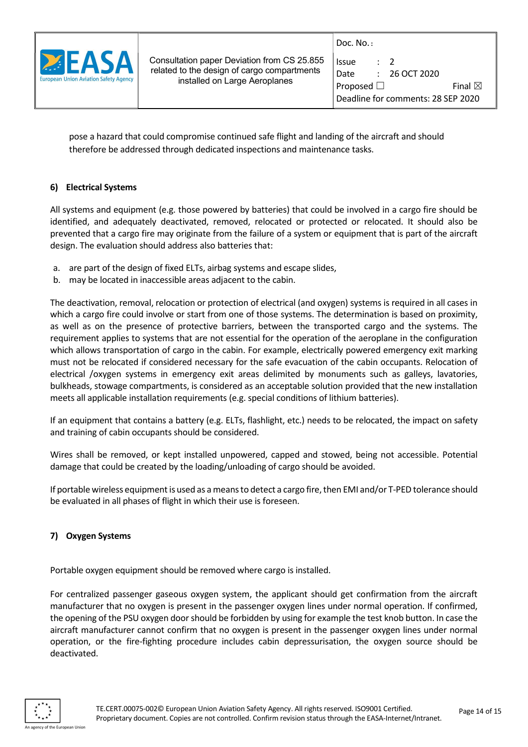

| Issue                              | $\cdot$ 7 |                   |  |  |  |
|------------------------------------|-----------|-------------------|--|--|--|
| Date                               |           | $: 26$ OCT 2020   |  |  |  |
| Proposed $\Box$                    |           | Final $\boxtimes$ |  |  |  |
| Deadline for comments: 28 SEP 2020 |           |                   |  |  |  |

pose a hazard that could compromise continued safe flight and landing of the aircraft and should therefore be addressed through dedicated inspections and maintenance tasks.

# 6) Electrical Systems

All systems and equipment (e.g. those powered by batteries) that could be involved in a cargo fire should be identified, and adequately deactivated, removed, relocated or protected or relocated. It should also be prevented that a cargo fire may originate from the failure of a system or equipment that is part of the aircraft design. The evaluation should address also batteries that:

- a. are part of the design of fixed ELTs, airbag systems and escape slides,
- b. may be located in inaccessible areas adjacent to the cabin.

The deactivation, removal, relocation or protection of electrical (and oxygen) systems is required in all cases in which a cargo fire could involve or start from one of those systems. The determination is based on proximity, as well as on the presence of protective barriers, between the transported cargo and the systems. The requirement applies to systems that are not essential for the operation of the aeroplane in the configuration which allows transportation of cargo in the cabin. For example, electrically powered emergency exit marking must not be relocated if considered necessary for the safe evacuation of the cabin occupants. Relocation of electrical /oxygen systems in emergency exit areas delimited by monuments such as galleys, lavatories, bulkheads, stowage compartments, is considered as an acceptable solution provided that the new installation meets all applicable installation requirements (e.g. special conditions of lithium batteries).

If an equipment that contains a battery (e.g. ELTs, flashlight, etc.) needs to be relocated, the impact on safety and training of cabin occupants should be considered.

Wires shall be removed, or kept installed unpowered, capped and stowed, being not accessible. Potential damage that could be created by the loading/unloading of cargo should be avoided.

If portable wireless equipment is used as a means to detect a cargo fire, then EMI and/or T-PED tolerance should be evaluated in all phases of flight in which their use is foreseen.

## 7) Oxygen Systems

Portable oxygen equipment should be removed where cargo is installed.

For centralized passenger gaseous oxygen system, the applicant should get confirmation from the aircraft manufacturer that no oxygen is present in the passenger oxygen lines under normal operation. If confirmed, the opening of the PSU oxygen door should be forbidden by using for example the test knob button. In case the aircraft manufacturer cannot confirm that no oxygen is present in the passenger oxygen lines under normal operation, or the fire-fighting procedure includes cabin depressurisation, the oxygen source should be deactivated.